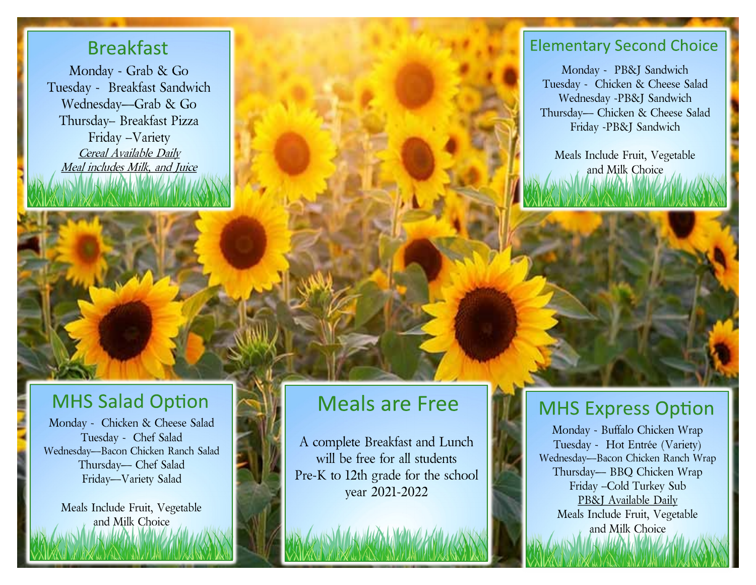### **Breakfast**

Monday - Grab & Go Tuesday - Breakfast Sandwich Wednesday—Grab & Go Thursday– Breakfast Pizza Friday –Variety Cereal Available Daily Meal includes Milk, and Juice

## **MHS Salad Option**

Monday - Chicken & Cheese Salad Tuesday - Chef Salad Wednesday—Bacon Chicken Ranch Salad Thursday— Chef Salad Friday—Variety Salad

Meals Include Fruit, Vegetable and Milk Choice

# **Meals are Free**

A complete Breakfast and Lunch will be free for all students Pre-K to 12th grade for the school year 2021-2022

#### **Elementary Second Choice**

Monday - PB&J Sandwich Tuesday - Chicken & Cheese Salad Wednesday -PB&J Sandwich Thursday— Chicken & Cheese Salad Friday -PB&J Sandwich

Meals Include Fruit, Vegetable and Milk Choice

## **MHS Express Option**

Monday - Buffalo Chicken Wrap Tuesday - Hot Entrée (Variety) Wednesday—Bacon Chicken Ranch Wrap Thursday— BBQ Chicken Wrap Friday –Cold Turkey Sub PB&J Available Daily Meals Include Fruit, Vegetable and Milk Choice